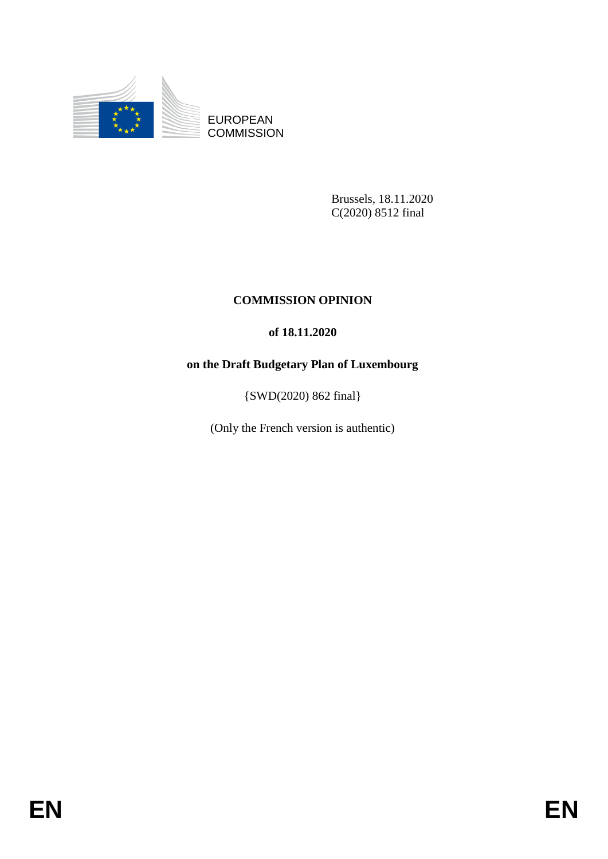

EUROPEAN **COMMISSION** 

> Brussels, 18.11.2020 C(2020) 8512 final

# **COMMISSION OPINION**

# **of 18.11.2020**

# **on the Draft Budgetary Plan of Luxembourg**

{SWD(2020) 862 final}

(Only the French version is authentic)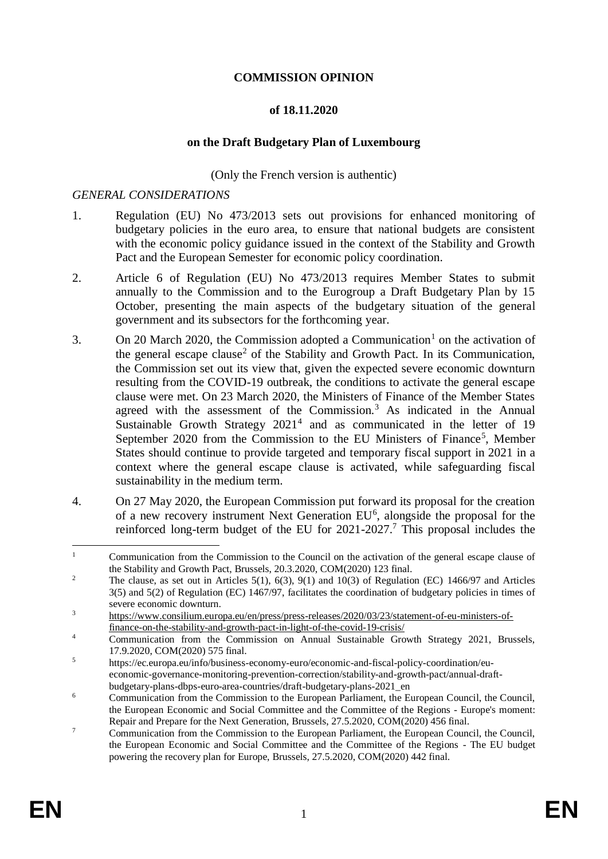#### **COMMISSION OPINION**

#### **of 18.11.2020**

#### **on the Draft Budgetary Plan of Luxembourg**

(Only the French version is authentic)

### *GENERAL CONSIDERATIONS*

- 1. Regulation (EU) No 473/2013 sets out provisions for enhanced monitoring of budgetary policies in the euro area, to ensure that national budgets are consistent with the economic policy guidance issued in the context of the Stability and Growth Pact and the European Semester for economic policy coordination.
- 2. Article 6 of Regulation (EU) No 473/2013 requires Member States to submit annually to the Commission and to the Eurogroup a Draft Budgetary Plan by 15 October, presenting the main aspects of the budgetary situation of the general government and its subsectors for the forthcoming year.
- 3. On 20 March 2020, the Commission adopted a Communication<sup>1</sup> on the activation of the general escape clause<sup>2</sup> of the Stability and Growth Pact. In its Communication, the Commission set out its view that, given the expected severe economic downturn resulting from the COVID-19 outbreak, the conditions to activate the general escape clause were met. On 23 March 2020, the Ministers of Finance of the Member States agreed with the assessment of the Commission.<sup>3</sup> As indicated in the Annual Sustainable Growth Strategy 2021<sup>4</sup> and as communicated in the letter of 19 September 2020 from the Commission to the EU Ministers of Finance<sup>5</sup>, Member States should continue to provide targeted and temporary fiscal support in 2021 in a context where the general escape clause is activated, while safeguarding fiscal sustainability in the medium term.
- 4. On 27 May 2020, the European Commission put forward its proposal for the creation of a new recovery instrument Next Generation EU<sup>6</sup>, alongside the proposal for the reinforced long-term budget of the EU for  $2021-2027$ .<sup>7</sup> This proposal includes the

 $\mathbf{1}$ <sup>1</sup> Communication from the Commission to the Council on the activation of the general escape clause of the Stability and Growth Pact, Brussels, 20.3.2020, COM(2020) 123 final.

<sup>&</sup>lt;sup>2</sup> The clause, as set out in Articles 5(1), 6(3), 9(1) and 10(3) of Regulation (EC) 1466/97 and Articles 3(5) and 5(2) of Regulation (EC) 1467/97, facilitates the coordination of budgetary policies in times of severe economic downturn.

<sup>3</sup> [https://www.consilium.europa.eu/en/press/press-releases/2020/03/23/statement-of-eu-ministers-of](https://www.consilium.europa.eu/en/press/press-releases/2020/03/23/statement-of-eu-ministers-of-finance-on-the-stability-and-growth-pact-in-light-of-the-covid-19-crisis/)[finance-on-the-stability-and-growth-pact-in-light-of-the-covid-19-crisis/](https://www.consilium.europa.eu/en/press/press-releases/2020/03/23/statement-of-eu-ministers-of-finance-on-the-stability-and-growth-pact-in-light-of-the-covid-19-crisis/)

<sup>4</sup> Communication from the Commission on Annual Sustainable Growth Strategy 2021, Brussels, 17.9.2020, COM(2020) 575 final.

<sup>5</sup> https://ec.europa.eu/info/business-economy-euro/economic-and-fiscal-policy-coordination/eueconomic-governance-monitoring-prevention-correction/stability-and-growth-pact/annual-draftbudgetary-plans-dbps-euro-area-countries/draft-budgetary-plans-2021\_en

 $6 \qquad$  Communication from the Commission to the European Parliament, the European Council, the Council, the European Economic and Social Committee and the Committee of the Regions - Europe's moment:

Repair and Prepare for the Next Generation, Brussels, 27.5.2020, COM(2020) 456 final. <sup>7</sup> Communication from the Commission to the European Parliament, the European Council, the Council, the European Economic and Social Committee and the Committee of the Regions - The EU budget powering the recovery plan for Europe, Brussels, 27.5.2020, COM(2020) 442 final.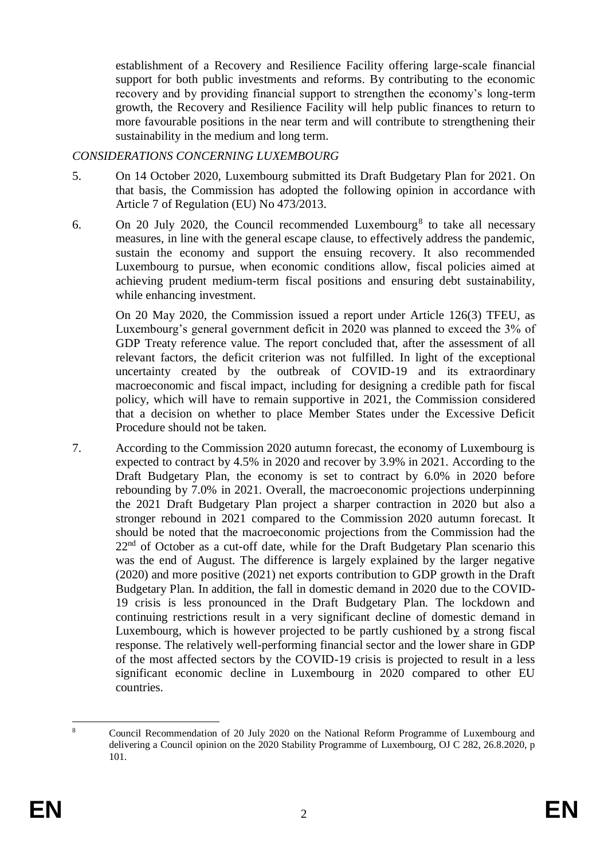establishment of a Recovery and Resilience Facility offering large-scale financial support for both public investments and reforms. By contributing to the economic recovery and by providing financial support to strengthen the economy's long-term growth, the Recovery and Resilience Facility will help public finances to return to more favourable positions in the near term and will contribute to strengthening their sustainability in the medium and long term.

### *CONSIDERATIONS CONCERNING LUXEMBOURG*

- 5. On 14 October 2020, Luxembourg submitted its Draft Budgetary Plan for 2021. On that basis, the Commission has adopted the following opinion in accordance with Article 7 of Regulation (EU) No 473/2013.
- 6. On 20 July 2020, the Council recommended Luxembourg<sup>8</sup> to take all necessary measures, in line with the general escape clause, to effectively address the pandemic, sustain the economy and support the ensuing recovery. It also recommended Luxembourg to pursue, when economic conditions allow, fiscal policies aimed at achieving prudent medium-term fiscal positions and ensuring debt sustainability, while enhancing investment.

On 20 May 2020, the Commission issued a report under Article 126(3) TFEU, as Luxembourg's general government deficit in 2020 was planned to exceed the 3% of GDP Treaty reference value. The report concluded that, after the assessment of all relevant factors, the deficit criterion was not fulfilled. In light of the exceptional uncertainty created by the outbreak of COVID-19 and its extraordinary macroeconomic and fiscal impact, including for designing a credible path for fiscal policy, which will have to remain supportive in 2021*,* the Commission considered that a decision on whether to place Member States under the Excessive Deficit Procedure should not be taken.

7. According to the Commission 2020 autumn forecast, the economy of Luxembourg is expected to contract by 4.5% in 2020 and recover by 3.9% in 2021. According to the Draft Budgetary Plan, the economy is set to contract by 6.0% in 2020 before rebounding by 7.0% in 2021. Overall, the macroeconomic projections underpinning the 2021 Draft Budgetary Plan project a sharper contraction in 2020 but also a stronger rebound in 2021 compared to the Commission 2020 autumn forecast. It should be noted that the macroeconomic projections from the Commission had the  $22<sup>nd</sup>$  of October as a cut-off date, while for the Draft Budgetary Plan scenario this was the end of August. The difference is largely explained by the larger negative (2020) and more positive (2021) net exports contribution to GDP growth in the Draft Budgetary Plan. In addition, the fall in domestic demand in 2020 due to the COVID-19 crisis is less pronounced in the Draft Budgetary Plan. The lockdown and continuing restrictions result in a very significant decline of domestic demand in Luxembourg, which is however projected to be partly cushioned by a strong fiscal response. The relatively well-performing financial sector and the lower share in GDP of the most affected sectors by the COVID-19 crisis is projected to result in a less significant economic decline in Luxembourg in 2020 compared to other EU countries.

 $\overline{a}$ <sup>8</sup> Council Recommendation of 20 July 2020 on the National Reform Programme of Luxembourg and delivering a Council opinion on the 2020 Stability Programme of Luxembourg, OJ C 282, 26.8.2020, p 101.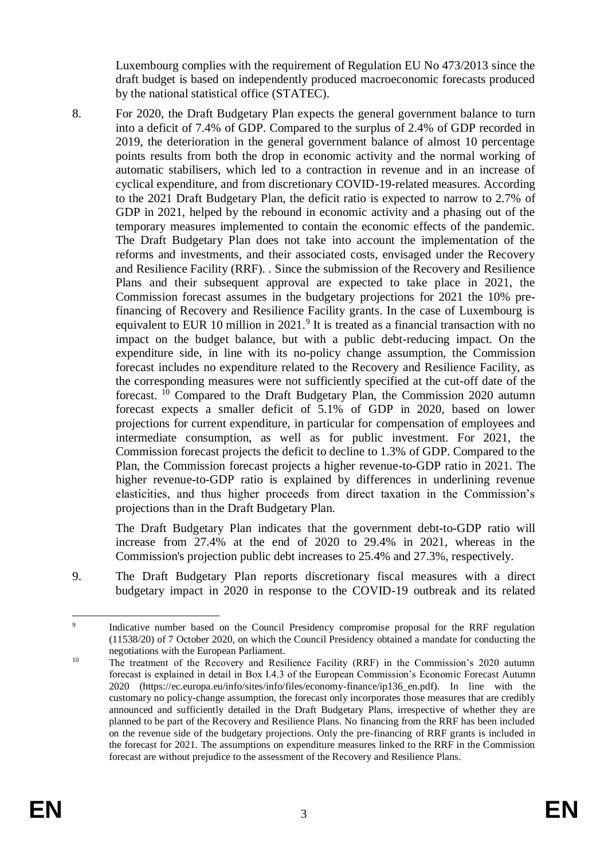Luxembourg complies with the requirement of Regulation EU No 473/2013 since the draft budget is based on independently produced macroeconomic forecasts produced by the national statistical office (STATEC).

8. For 2020, the Draft Budgetary Plan expects the general government balance to turn into a deficit of 7.4% of GDP. Compared to the surplus of 2.4% of GDP recorded in 2019, the deterioration in the general government balance of almost 10 percentage points results from both the drop in economic activity and the normal working of automatic stabilisers, which led to a contraction in revenue and in an increase of cyclical expenditure, and from discretionary COVID-19-related measures. According to the 2021 Draft Budgetary Plan, the deficit ratio is expected to narrow to 2.7% of GDP in 2021, helped by the rebound in economic activity and a phasing out of the temporary measures implemented to contain the economic effects of the pandemic. The Draft Budgetary Plan does not take into account the implementation of the reforms and investments, and their associated costs, envisaged under the Recovery and Resilience Facility (RRF). . Since the submission of the Recovery and Resilience Plans and their subsequent approval are expected to take place in 2021, the Commission forecast assumes in the budgetary projections for 2021 the 10% prefinancing of Recovery and Resilience Facility grants. In the case of Luxembourg is equivalent to EUR 10 million in  $2021$ .<sup>9</sup> It is treated as a financial transaction with no impact on the budget balance, but with a public debt-reducing impact. On the expenditure side, in line with its no-policy change assumption, the Commission forecast includes no expenditure related to the Recovery and Resilience Facility, as the corresponding measures were not sufficiently specified at the cut-off date of the forecast. <sup>10</sup> Compared to the Draft Budgetary Plan, the Commission 2020 autumn forecast expects a smaller deficit of 5.1% of GDP in 2020, based on lower projections for current expenditure, in particular for compensation of employees and intermediate consumption, as well as for public investment. For 2021, the Commission forecast projects the deficit to decline to 1.3% of GDP. Compared to the Plan, the Commission forecast projects a higher revenue-to-GDP ratio in 2021. The higher revenue-to-GDP ratio is explained by differences in underlining revenue elasticities, and thus higher proceeds from direct taxation in the Commission's projections than in the Draft Budgetary Plan.

The Draft Budgetary Plan indicates that the government debt-to-GDP ratio will increase from 27.4% at the end of 2020 to 29.4% in 2021, whereas in the Commission's projection public debt increases to 25.4% and 27.3%, respectively.

9. The Draft Budgetary Plan reports discretionary fiscal measures with a direct budgetary impact in 2020 in response to the COVID-19 outbreak and its related

<sup>-&</sup>lt;br>9 Indicative number based on the Council Presidency compromise proposal for the RRF regulation (11538/20) of 7 October 2020, on which the Council Presidency obtained a mandate for conducting the negotiations with the European Parliament.

<sup>&</sup>lt;sup>10</sup> The treatment of the Recovery and Resilience Facility (RRF) in the Commission's 2020 autumn forecast is explained in detail in Box I.4.3 of the European Commission's Economic Forecast Autumn 2020 (https://ec.europa.eu/info/sites/info/files/economy-finance/ip136\_en.pdf). In line with the customary no policy-change assumption, the forecast only incorporates those measures that are credibly announced and sufficiently detailed in the Draft Budgetary Plans, irrespective of whether they are planned to be part of the Recovery and Resilience Plans. No financing from the RRF has been included on the revenue side of the budgetary projections. Only the pre-financing of RRF grants is included in the forecast for 2021. The assumptions on expenditure measures linked to the RRF in the Commission forecast are without prejudice to the assessment of the Recovery and Resilience Plans.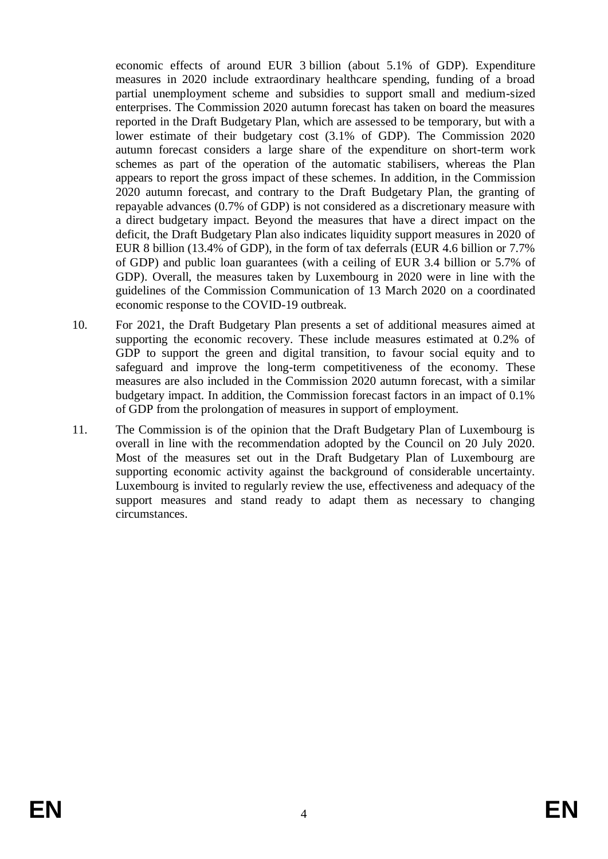economic effects of around EUR 3 billion (about 5.1% of GDP). Expenditure measures in 2020 include extraordinary healthcare spending, funding of a broad partial unemployment scheme and subsidies to support small and medium-sized enterprises. The Commission 2020 autumn forecast has taken on board the measures reported in the Draft Budgetary Plan, which are assessed to be temporary, but with a lower estimate of their budgetary cost (3.1% of GDP). The Commission 2020 autumn forecast considers a large share of the expenditure on short-term work schemes as part of the operation of the automatic stabilisers, whereas the Plan appears to report the gross impact of these schemes. In addition, in the Commission 2020 autumn forecast, and contrary to the Draft Budgetary Plan, the granting of repayable advances (0.7% of GDP) is not considered as a discretionary measure with a direct budgetary impact. Beyond the measures that have a direct impact on the deficit, the Draft Budgetary Plan also indicates liquidity support measures in 2020 of EUR 8 billion (13.4% of GDP), in the form of tax deferrals (EUR 4.6 billion or 7.7% of GDP) and public loan guarantees (with a ceiling of EUR 3.4 billion or 5.7% of GDP). Overall, the measures taken by Luxembourg in 2020 were in line with the guidelines of the Commission Communication of 13 March 2020 on a coordinated economic response to the COVID-19 outbreak.

- 10. For 2021, the Draft Budgetary Plan presents a set of additional measures aimed at supporting the economic recovery. These include measures estimated at 0.2% of GDP to support the green and digital transition, to favour social equity and to safeguard and improve the long-term competitiveness of the economy. These measures are also included in the Commission 2020 autumn forecast, with a similar budgetary impact. In addition, the Commission forecast factors in an impact of 0.1% of GDP from the prolongation of measures in support of employment.
- 11. The Commission is of the opinion that the Draft Budgetary Plan of Luxembourg is overall in line with the recommendation adopted by the Council on 20 July 2020. Most of the measures set out in the Draft Budgetary Plan of Luxembourg are supporting economic activity against the background of considerable uncertainty. Luxembourg is invited to regularly review the use, effectiveness and adequacy of the support measures and stand ready to adapt them as necessary to changing circumstances.